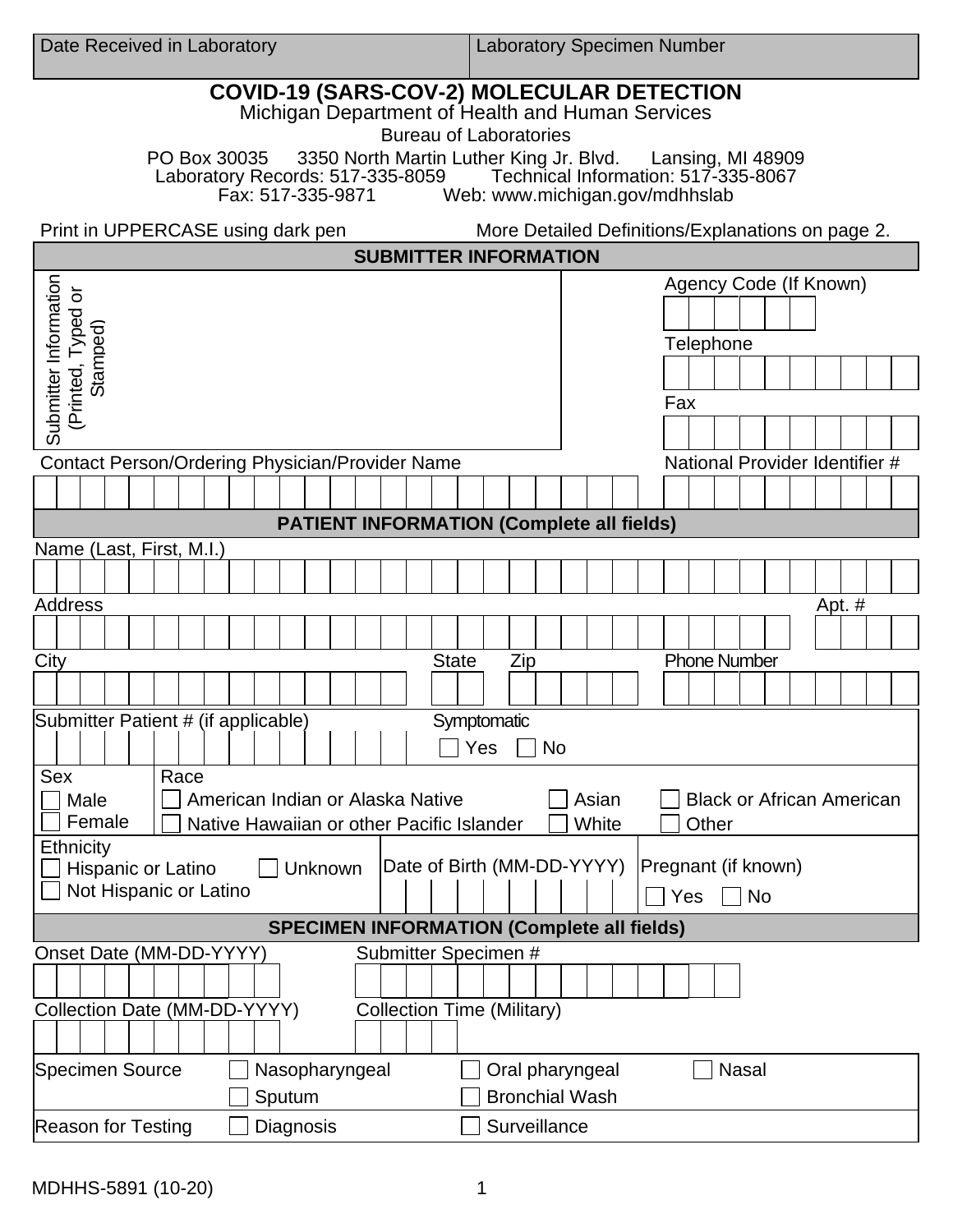| Date Received in Laboratory                                                                                                                                                                                                                                                                | <b>Laboratory Specimen Number</b>                        |
|--------------------------------------------------------------------------------------------------------------------------------------------------------------------------------------------------------------------------------------------------------------------------------------------|----------------------------------------------------------|
| <b>COVID-19 (SARS-COV-2) MOLECULAR DETECTION</b><br>Michigan Department of Health and Human Services<br><b>Bureau of Laboratories</b><br>PO Box 30035 3350 North Martin Luther King Jr. Blvd. Lansing, MI 48909<br>Technical Information: 517-335-8067<br>Laboratory Records: 517-335-8059 |                                                          |
| Fax: 517-335-9871<br>Web: www.michigan.gov/mdhhslab                                                                                                                                                                                                                                        |                                                          |
| Print in UPPERCASE using dark pen<br>More Detailed Definitions/Explanations on page 2.                                                                                                                                                                                                     |                                                          |
| <b>SUBMITTER INFORMATION</b>                                                                                                                                                                                                                                                               |                                                          |
| Submitter Information<br>(Printed, Typed or<br>Stamped)                                                                                                                                                                                                                                    | Agency Code (If Known)<br>Telephone                      |
|                                                                                                                                                                                                                                                                                            |                                                          |
|                                                                                                                                                                                                                                                                                            | Fax                                                      |
|                                                                                                                                                                                                                                                                                            |                                                          |
| <b>Contact Person/Ordering Physician/Provider Name</b>                                                                                                                                                                                                                                     | National Provider Identifier #                           |
|                                                                                                                                                                                                                                                                                            |                                                          |
| <b>PATIENT INFORMATION (Complete all fields)</b>                                                                                                                                                                                                                                           |                                                          |
| Name (Last, First, M.I.)                                                                                                                                                                                                                                                                   |                                                          |
|                                                                                                                                                                                                                                                                                            |                                                          |
| <b>Address</b>                                                                                                                                                                                                                                                                             | Apt. #                                                   |
|                                                                                                                                                                                                                                                                                            |                                                          |
| City<br><b>State</b>                                                                                                                                                                                                                                                                       | <b>Phone Number</b><br>Zip                               |
|                                                                                                                                                                                                                                                                                            |                                                          |
| Submitter Patient # (if applicable)<br>Symptomatic<br><b>No</b><br>Yes                                                                                                                                                                                                                     |                                                          |
| Sex<br>Race<br>American Indian or Alaska Native<br>Asian<br>Male<br><b>Black or African American</b><br>Female<br>White<br>Native Hawaiian or other Pacific Islander<br>Other                                                                                                              |                                                          |
| <b>Ethnicity</b><br>Date of Birth (MM-DD-YYYY)<br>Pregnant (if known)<br>Hispanic or Latino<br>Unknown<br>Not Hispanic or Latino<br>Yes<br><b>No</b>                                                                                                                                       |                                                          |
| <b>SPECIMEN INFORMATION (Complete all fields)</b>                                                                                                                                                                                                                                          |                                                          |
| Submitter Specimen #<br>Onset Date (MM-DD-YYYY)                                                                                                                                                                                                                                            |                                                          |
|                                                                                                                                                                                                                                                                                            |                                                          |
| Collection Date (MM-DD-YYYY)<br><b>Collection Time (Military)</b>                                                                                                                                                                                                                          |                                                          |
|                                                                                                                                                                                                                                                                                            |                                                          |
| Specimen Source<br>Nasopharyngeal                                                                                                                                                                                                                                                          | <b>Nasal</b><br>Oral pharyngeal<br><b>Bronchial Wash</b> |
| Sputum                                                                                                                                                                                                                                                                                     |                                                          |
| <b>Reason for Testing</b><br>Diagnosis                                                                                                                                                                                                                                                     | Surveillance                                             |